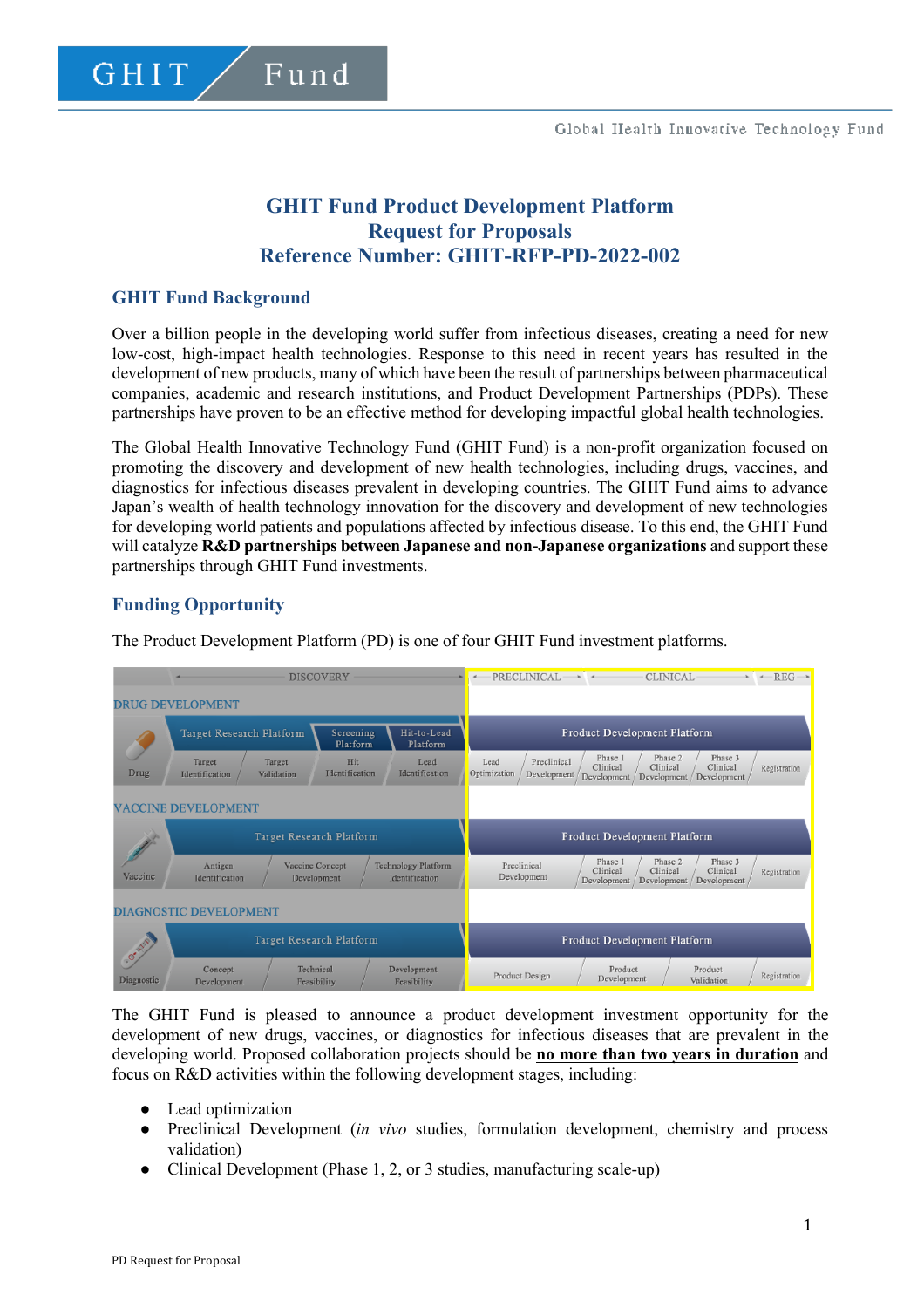# **GHIT Fund Product Development Platform Request for Proposals Reference Number: GHIT-RFP-PD-2022-002**

## **GHIT Fund Background**

Over a billion people in the developing world suffer from infectious diseases, creating a need for new low-cost, high-impact health technologies. Response to this need in recent years has resulted in the development of new products, many of which have been the result of partnerships between pharmaceutical companies, academic and research institutions, and Product Development Partnerships (PDPs). These partnerships have proven to be an effective method for developing impactful global health technologies.

The Global Health Innovative Technology Fund (GHIT Fund) is a non-profit organization focused on promoting the discovery and development of new health technologies, including drugs, vaccines, and diagnostics for infectious diseases prevalent in developing countries. The GHIT Fund aims to advance Japan's wealth of health technology innovation for the discovery and development of new technologies for developing world patients and populations affected by infectious disease. To this end, the GHIT Fund will catalyze **R&D partnerships between Japanese and non-Japanese organizations** and support these partnerships through GHIT Fund investments.

## **Funding Opportunity**

The Product Development Platform (PD) is one of four GHIT Fund investment platforms.

|                             | <b>DISCOVERY</b>                                            |                                               |                         | PRECLINICAL                                  |                                                    | <b>CLINICAL</b>                    | $REG \rightarrow$                                                        |              |
|-----------------------------|-------------------------------------------------------------|-----------------------------------------------|-------------------------|----------------------------------------------|----------------------------------------------------|------------------------------------|--------------------------------------------------------------------------|--------------|
|                             | <b>DRUG DEVELOPMENT</b>                                     |                                               |                         |                                              |                                                    |                                    |                                                                          |              |
|                             | Target Research Platform                                    | Screening<br>Platform                         | Hit-to-Lead<br>Platform | <b>Product Development Platform</b>          |                                                    |                                    |                                                                          |              |
| Drug                        | Target<br>Identification                                    | Hit<br>Target<br>Identification<br>Validation |                         | Lead<br>Identification                       | Preclinical<br>Lead<br>Optimization<br>Development | Phase 1<br>Clinical<br>Development | Phase 3<br>Phase 2<br>Clinical<br>Clinical<br>Development<br>Development | Registration |
|                             | <b>VACCINE DEVELOPMENT</b>                                  |                                               |                         |                                              |                                                    |                                    |                                                                          |              |
| Vaccine                     | Target Research Platform                                    |                                               |                         |                                              | Product Development Platform                       |                                    |                                                                          |              |
|                             | Antigen<br>Vaccine Concept<br>Identification<br>Development |                                               |                         | <b>Technology Platform</b><br>Identification | Preclinical<br>Development                         | Phase 1<br>Clinical<br>Development | Phase 3<br>Phase 2<br>Clinical<br>Clinical<br>Development<br>Development | Registration |
|                             | <b>DIAGNOSTIC DEVELOPMENT</b>                               |                                               |                         |                                              |                                                    |                                    |                                                                          |              |
| <b>CANTER</b><br>Diagnostic | Target Research Platform                                    |                                               |                         |                                              | Product Development Platform                       |                                    |                                                                          |              |
|                             | Concept<br>Development                                      | Technical<br>Feasibility                      |                         | Development<br>Feasibility                   | Product Design                                     | Product<br>Development             | Product<br>Validation                                                    | Registration |

The GHIT Fund is pleased to announce a product development investment opportunity for the development of new drugs, vaccines, or diagnostics for infectious diseases that are prevalent in the developing world. Proposed collaboration projects should be **no more than two years in duration** and focus on R&D activities within the following development stages, including:

- Lead optimization
- Preclinical Development (*in vivo* studies, formulation development, chemistry and process validation)
- Clinical Development (Phase 1, 2, or 3 studies, manufacturing scale-up)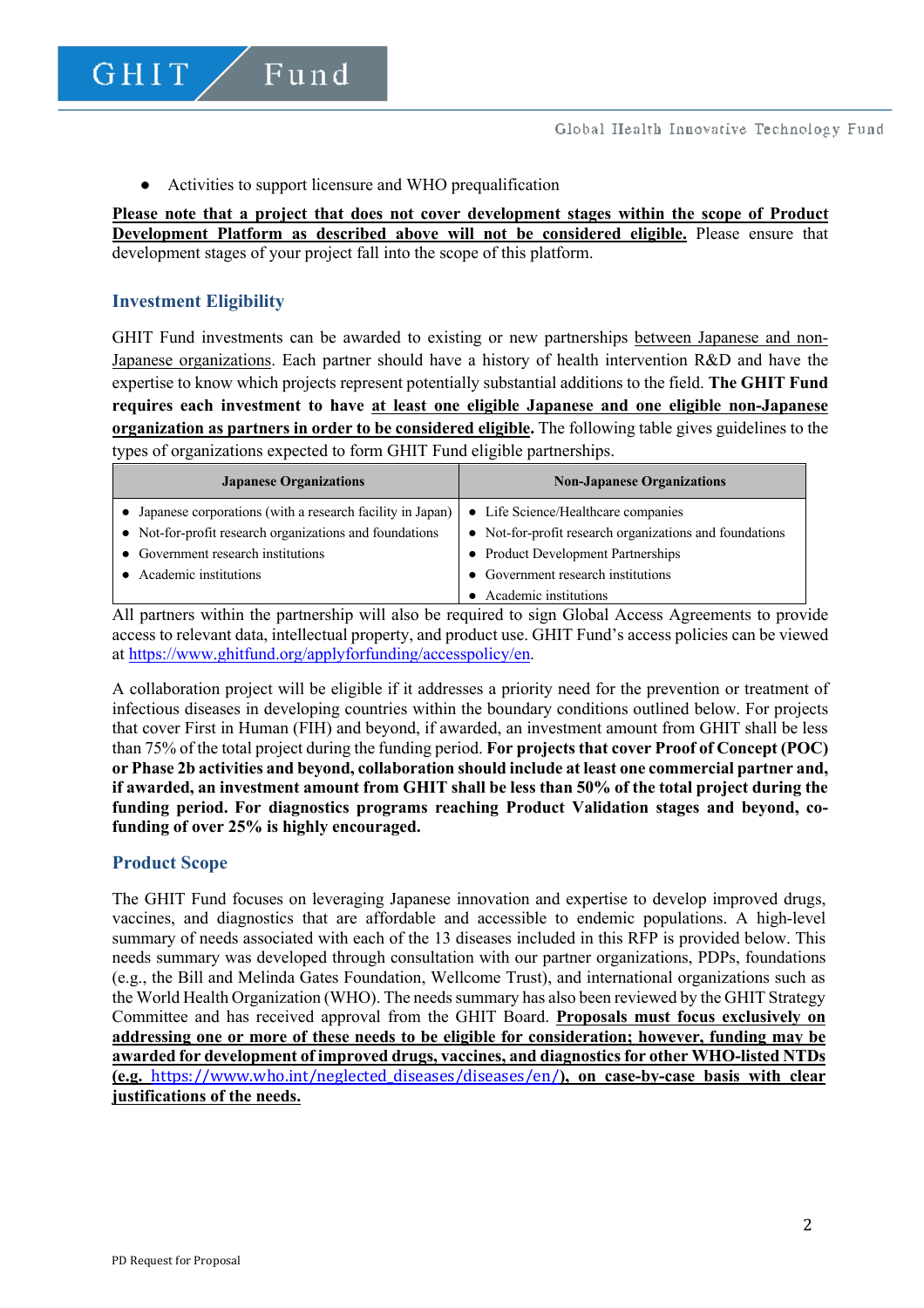● Activities to support licensure and WHO prequalification

Fund

**Please note that a project that does not cover development stages within the scope of Product Development Platform as described above will not be considered eligible.** Please ensure that development stages of your project fall into the scope of this platform.

## **Investment Eligibility**

GHIT

GHIT Fund investments can be awarded to existing or new partnerships between Japanese and non-Japanese organizations. Each partner should have a history of health intervention R&D and have the expertise to know which projects represent potentially substantial additions to the field. **The GHIT Fund requires each investment to have at least one eligible Japanese and one eligible non-Japanese organization as partners in order to be considered eligible.** The following table gives guidelines to the types of organizations expected to form GHIT Fund eligible partnerships.

| <b>Japanese Organizations</b>                               | <b>Non-Japanese Organizations</b>                       |
|-------------------------------------------------------------|---------------------------------------------------------|
| • Japanese corporations (with a research facility in Japan) | • Life Science/Healthcare companies                     |
| • Not-for-profit research organizations and foundations     | • Not-for-profit research organizations and foundations |
| • Government research institutions                          | • Product Development Partnerships                      |
| Academic institutions                                       | Government research institutions                        |
|                                                             | Academic institutions                                   |

All partners within the partnership will also be required to sign Global Access Agreements to provide access to relevant data, intellectual property, and product use. GHIT Fund's access policies can be viewed at https://www.ghitfund.org/applyforfunding/accesspolicy/en.

A collaboration project will be eligible if it addresses a priority need for the prevention or treatment of infectious diseases in developing countries within the boundary conditions outlined below. For projects that cover First in Human (FIH) and beyond, if awarded, an investment amount from GHIT shall be less than 75% of the total project during the funding period. **For projects that cover Proof of Concept (POC) or Phase 2b activities and beyond, collaboration should include at least one commercial partner and, if awarded, an investment amount from GHIT shall be less than 50% of the total project during the funding period. For diagnostics programs reaching Product Validation stages and beyond, cofunding of over 25% is highly encouraged.**

## **Product Scope**

The GHIT Fund focuses on leveraging Japanese innovation and expertise to develop improved drugs, vaccines, and diagnostics that are affordable and accessible to endemic populations. A high-level summary of needs associated with each of the 13 diseases included in this RFP is provided below. This needs summary was developed through consultation with our partner organizations, PDPs, foundations (e.g., the Bill and Melinda Gates Foundation, Wellcome Trust), and international organizations such as the World Health Organization (WHO). The needs summary has also been reviewed by the GHIT Strategy Committee and has received approval from the GHIT Board. **Proposals must focus exclusively on addressing one or more of these needs to be eligible for consideration; however, funding may be awarded for development of improved drugs, vaccines, and diagnostics for other WHO-listed NTDs (e.g.** https://www.who.int/neglected\_diseases/diseases/en/**), on case-by-case basis with clear justifications of the needs.**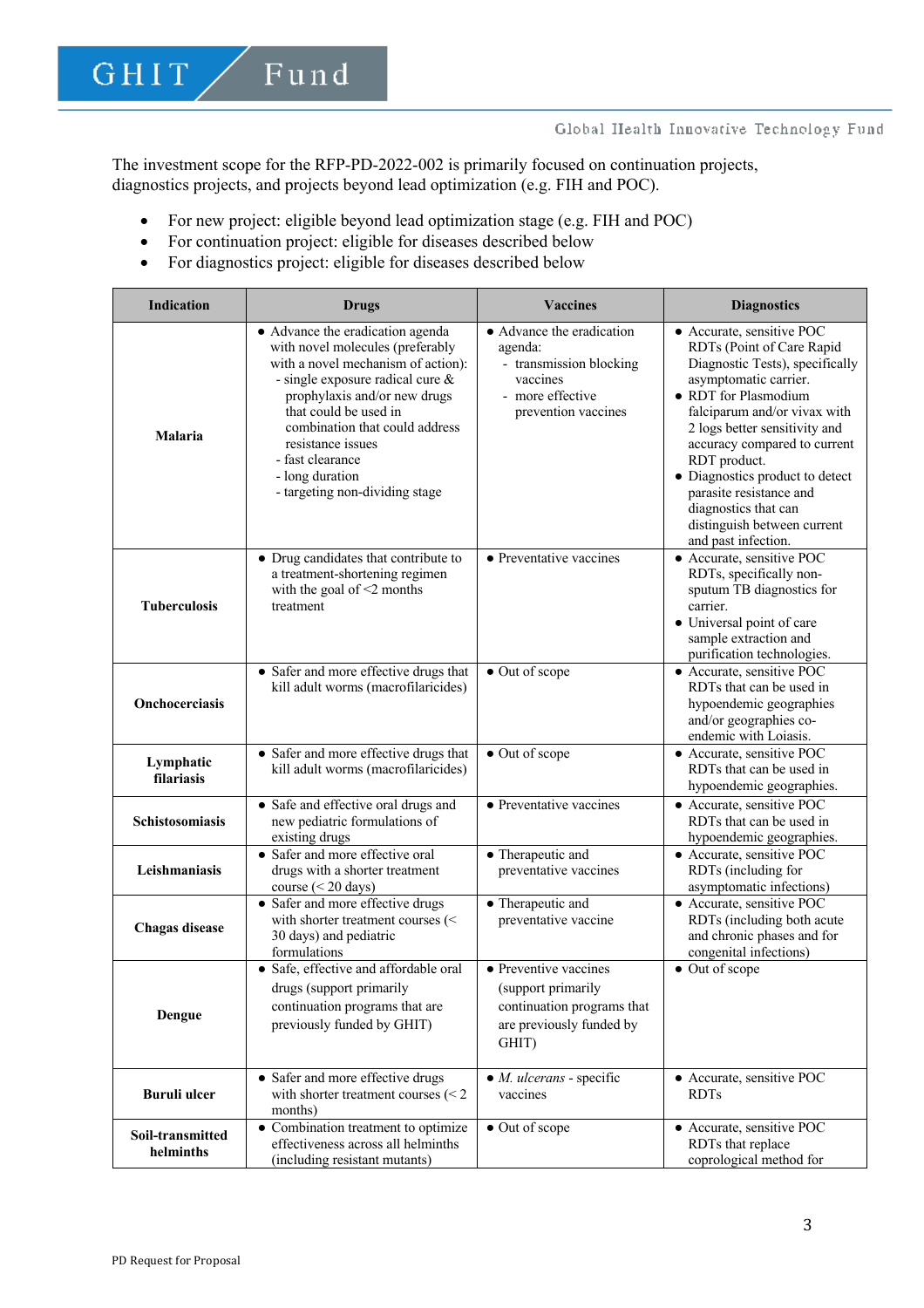The investment scope for the RFP-PD-2022-002 is primarily focused on continuation projects, diagnostics projects, and projects beyond lead optimization (e.g. FIH and POC).

- For new project: eligible beyond lead optimization stage (e.g. FIH and POC)
- For continuation project: eligible for diseases described below
- For diagnostics project: eligible for diseases described below

| <b>Indication</b>             | <b>Drugs</b>                                                                                                                                                                                                                                                                                                                            | <b>Vaccines</b>                                                                                                        | <b>Diagnostics</b>                                                                                                                                                                                                                                                                                                                                                                                      |
|-------------------------------|-----------------------------------------------------------------------------------------------------------------------------------------------------------------------------------------------------------------------------------------------------------------------------------------------------------------------------------------|------------------------------------------------------------------------------------------------------------------------|---------------------------------------------------------------------------------------------------------------------------------------------------------------------------------------------------------------------------------------------------------------------------------------------------------------------------------------------------------------------------------------------------------|
| <b>Malaria</b>                | • Advance the eradication agenda<br>with novel molecules (preferably<br>with a novel mechanism of action):<br>- single exposure radical cure &<br>prophylaxis and/or new drugs<br>that could be used in<br>combination that could address<br>resistance issues<br>- fast clearance<br>- long duration<br>- targeting non-dividing stage | • Advance the eradication<br>agenda:<br>- transmission blocking<br>vaccines<br>- more effective<br>prevention vaccines | • Accurate, sensitive POC<br>RDTs (Point of Care Rapid<br>Diagnostic Tests), specifically<br>asymptomatic carrier.<br>• RDT for Plasmodium<br>falciparum and/or vivax with<br>2 logs better sensitivity and<br>accuracy compared to current<br>RDT product.<br>• Diagnostics product to detect<br>parasite resistance and<br>diagnostics that can<br>distinguish between current<br>and past infection. |
| <b>Tuberculosis</b>           | • Drug candidates that contribute to<br>a treatment-shortening regimen<br>with the goal of $\leq$ 2 months<br>treatment                                                                                                                                                                                                                 | • Preventative vaccines                                                                                                | • Accurate, sensitive POC<br>RDTs, specifically non-<br>sputum TB diagnostics for<br>carrier.<br>• Universal point of care<br>sample extraction and<br>purification technologies.                                                                                                                                                                                                                       |
| <b>Onchocerciasis</b>         | • Safer and more effective drugs that<br>kill adult worms (macrofilaricides)                                                                                                                                                                                                                                                            | • Out of scope                                                                                                         | • Accurate, sensitive POC<br>RDTs that can be used in<br>hypoendemic geographies<br>and/or geographies co-<br>endemic with Loiasis.                                                                                                                                                                                                                                                                     |
| Lymphatic<br>filariasis       | • Safer and more effective drugs that<br>kill adult worms (macrofilaricides)                                                                                                                                                                                                                                                            | • Out of scope                                                                                                         | • Accurate, sensitive POC<br>RDTs that can be used in<br>hypoendemic geographies.                                                                                                                                                                                                                                                                                                                       |
| Schistosomiasis               | • Safe and effective oral drugs and<br>new pediatric formulations of<br>existing drugs                                                                                                                                                                                                                                                  | • Preventative vaccines                                                                                                | • Accurate, sensitive POC<br>RDTs that can be used in<br>hypoendemic geographies.                                                                                                                                                                                                                                                                                                                       |
| Leishmaniasis                 | • Safer and more effective oral<br>drugs with a shorter treatment<br>course ( $\leq$ 20 days)                                                                                                                                                                                                                                           | • Therapeutic and<br>preventative vaccines                                                                             | • Accurate, sensitive POC<br>RDTs (including for<br>asymptomatic infections)                                                                                                                                                                                                                                                                                                                            |
| <b>Chagas</b> disease         | • Safer and more effective drugs<br>with shorter treatment courses (<<br>30 days) and pediatric<br>formulations                                                                                                                                                                                                                         | • Therapeutic and<br>preventative vaccine                                                                              | • Accurate, sensitive POC<br>RDTs (including both acute<br>and chronic phases and for<br>congenital infections)                                                                                                                                                                                                                                                                                         |
| Dengue                        | • Safe, effective and affordable oral<br>drugs (support primarily<br>continuation programs that are<br>previously funded by GHIT)                                                                                                                                                                                                       | • Preventive vaccines<br>(support primarily<br>continuation programs that<br>are previously funded by<br>GHIT)         | • Out of scope                                                                                                                                                                                                                                                                                                                                                                                          |
| <b>Buruli</b> ulcer           | • Safer and more effective drugs<br>with shorter treatment courses $(< 2$<br>months)                                                                                                                                                                                                                                                    | $\bullet$ <i>M. ulcerans - specific</i><br>vaccines                                                                    | · Accurate, sensitive POC<br><b>RDTs</b>                                                                                                                                                                                                                                                                                                                                                                |
| Soil-transmitted<br>helminths | • Combination treatment to optimize<br>effectiveness across all helminths<br>(including resistant mutants)                                                                                                                                                                                                                              | • Out of scope                                                                                                         | • Accurate, sensitive POC<br>RDTs that replace<br>coprological method for                                                                                                                                                                                                                                                                                                                               |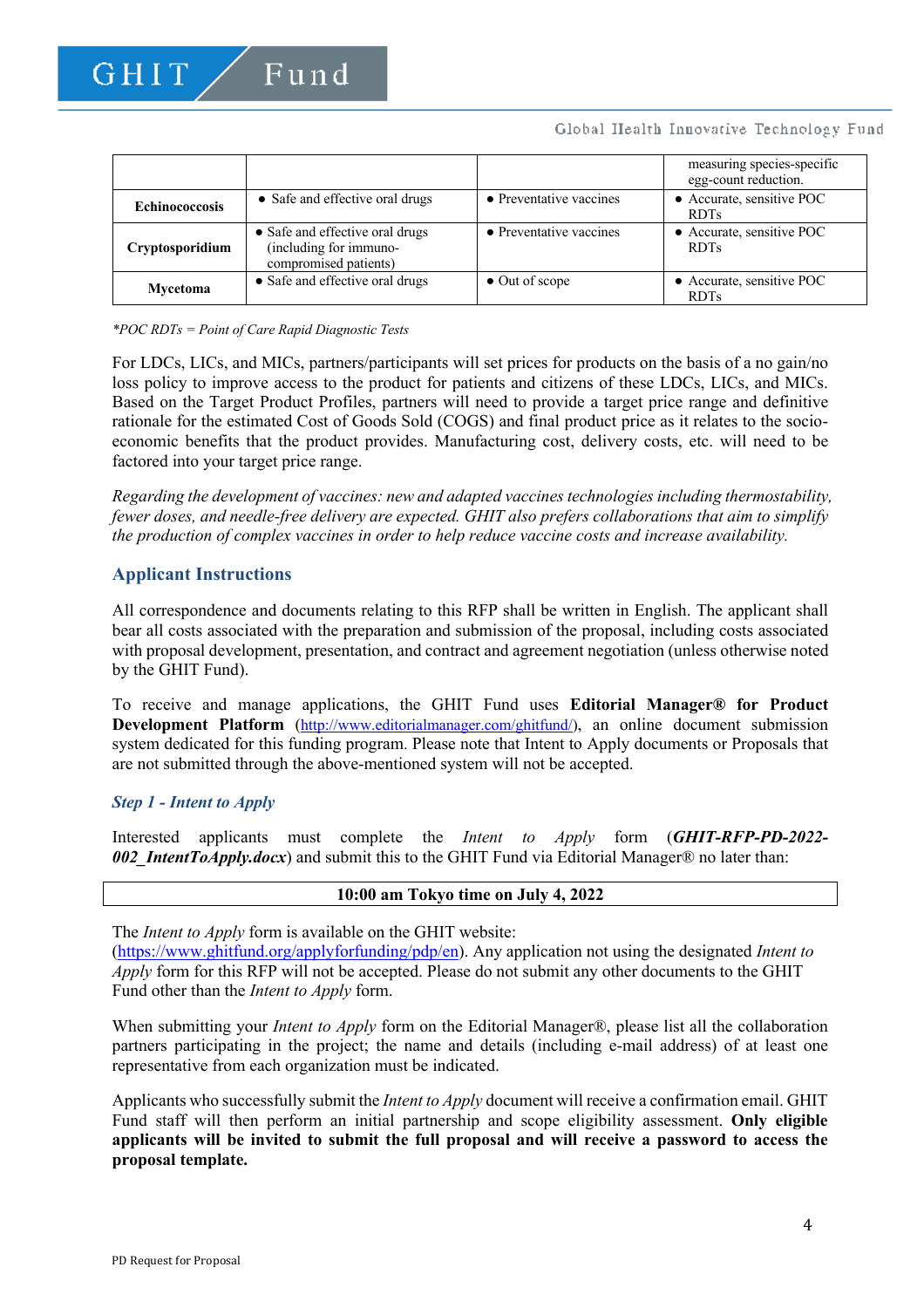## Global Health Innovative Technology Fund

|                       |                                                                                    |                         | measuring species-specific<br>egg-count reduction. |
|-----------------------|------------------------------------------------------------------------------------|-------------------------|----------------------------------------------------|
| <b>Echinococcosis</b> | • Safe and effective oral drugs                                                    | • Preventative vaccines | • Accurate, sensitive POC<br><b>RDTs</b>           |
| Cryptosporidium       | • Safe and effective oral drugs<br>(including for immuno-<br>compromised patients) | • Preventative vaccines | • Accurate, sensitive POC<br><b>RDTs</b>           |
| Mycetoma              | • Safe and effective oral drugs                                                    | $\bullet$ Out of scope  | • Accurate, sensitive POC<br><b>RDTs</b>           |

#### *\*POC RDTs = Point of Care Rapid Diagnostic Tests*

For LDCs, LICs, and MICs, partners/participants will set prices for products on the basis of a no gain/no loss policy to improve access to the product for patients and citizens of these LDCs, LICs, and MICs. Based on the Target Product Profiles, partners will need to provide a target price range and definitive rationale for the estimated Cost of Goods Sold (COGS) and final product price as it relates to the socioeconomic benefits that the product provides. Manufacturing cost, delivery costs, etc. will need to be factored into your target price range.

*Regarding the development of vaccines: new and adapted vaccines technologies including thermostability, fewer doses, and needle-free delivery are expected. GHIT also prefers collaborations that aim to simplify the production of complex vaccines in order to help reduce vaccine costs and increase availability.*

## **Applicant Instructions**

All correspondence and documents relating to this RFP shall be written in English. The applicant shall bear all costs associated with the preparation and submission of the proposal, including costs associated with proposal development, presentation, and contract and agreement negotiation (unless otherwise noted by the GHIT Fund).

To receive and manage applications, the GHIT Fund uses **Editorial Manager® for Product Development Platform** (http://www.editorialmanager.com/ghitfund/), an online document submission system dedicated for this funding program. Please note that Intent to Apply documents or Proposals that are not submitted through the above-mentioned system will not be accepted.

## *Step 1 - Intent to Apply*

Interested applicants must complete the *Intent to Apply* form (*GHIT-RFP-PD-2022- 002\_IntentToApply.docx*) and submit this to the GHIT Fund via Editorial Manager® no later than:

## **10:00 am Tokyo time on July 4, 2022**

The *Intent to Apply* form is available on the GHIT website:

(https://www.ghitfund.org/applyforfunding/pdp/en). Any application not using the designated *Intent to Apply* form for this RFP will not be accepted. Please do not submit any other documents to the GHIT Fund other than the *Intent to Apply* form.

When submitting your *Intent to Apply* form on the Editorial Manager®, please list all the collaboration partners participating in the project; the name and details (including e-mail address) of at least one representative from each organization must be indicated.

Applicants who successfully submit the *Intent to Apply* document will receive a confirmation email. GHIT Fund staff will then perform an initial partnership and scope eligibility assessment. **Only eligible applicants will be invited to submit the full proposal and will receive a password to access the proposal template.**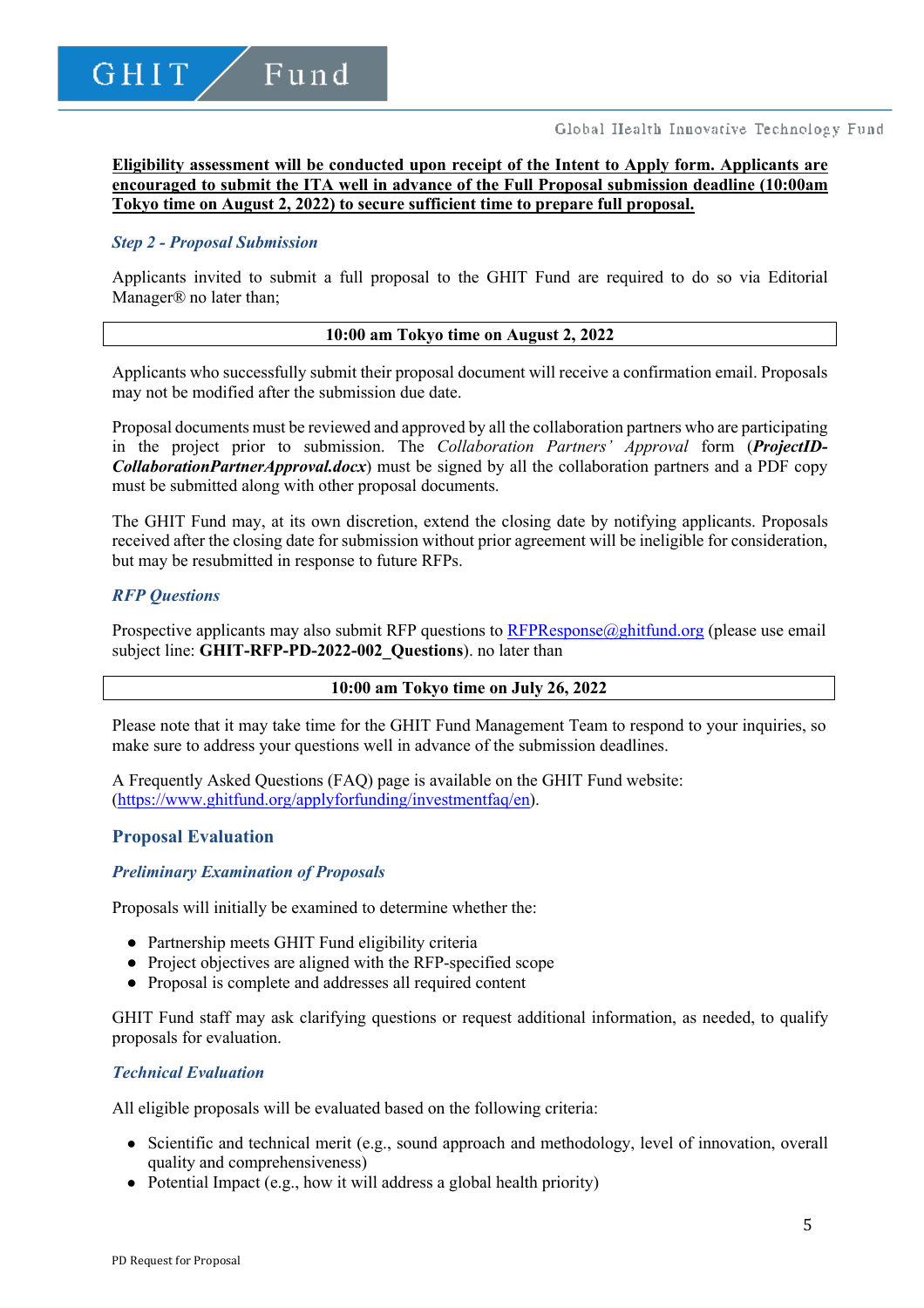**Eligibility assessment will be conducted upon receipt of the Intent to Apply form. Applicants are encouraged to submit the ITA well in advance of the Full Proposal submission deadline (10:00am Tokyo time on August 2, 2022) to secure sufficient time to prepare full proposal.**

#### *Step 2 - Proposal Submission*

Applicants invited to submit a full proposal to the GHIT Fund are required to do so via Editorial Manager® no later than;

#### **10:00 am Tokyo time on August 2, 2022**

Applicants who successfully submit their proposal document will receive a confirmation email. Proposals may not be modified after the submission due date.

Proposal documents must be reviewed and approved by all the collaboration partners who are participating in the project prior to submission. The *Collaboration Partners' Approval* form (*ProjectID-CollaborationPartnerApproval.docx*) must be signed by all the collaboration partners and a PDF copy must be submitted along with other proposal documents.

The GHIT Fund may, at its own discretion, extend the closing date by notifying applicants. Proposals received after the closing date for submission without prior agreement will be ineligible for consideration, but may be resubmitted in response to future RFPs.

#### *RFP Questions*

Prospective applicants may also submit RFP questions to  $RFPResponse(\textit{a}$  ghitfund.org (please use email subject line: **GHIT-RFP-PD-2022-002\_Questions**). no later than

## **10:00 am Tokyo time on July 26, 2022**

Please note that it may take time for the GHIT Fund Management Team to respond to your inquiries, so make sure to address your questions well in advance of the submission deadlines.

A Frequently Asked Questions (FAQ) page is available on the GHIT Fund website: (https://www.ghitfund.org/applyforfunding/investmentfaq/en).

## **Proposal Evaluation**

#### *Preliminary Examination of Proposals*

Proposals will initially be examined to determine whether the:

- Partnership meets GHIT Fund eligibility criteria
- Project objectives are aligned with the RFP-specified scope
- Proposal is complete and addresses all required content

GHIT Fund staff may ask clarifying questions or request additional information, as needed, to qualify proposals for evaluation.

#### *Technical Evaluation*

All eligible proposals will be evaluated based on the following criteria:

- Scientific and technical merit (e.g., sound approach and methodology, level of innovation, overall quality and comprehensiveness)
- Potential Impact (e.g., how it will address a global health priority)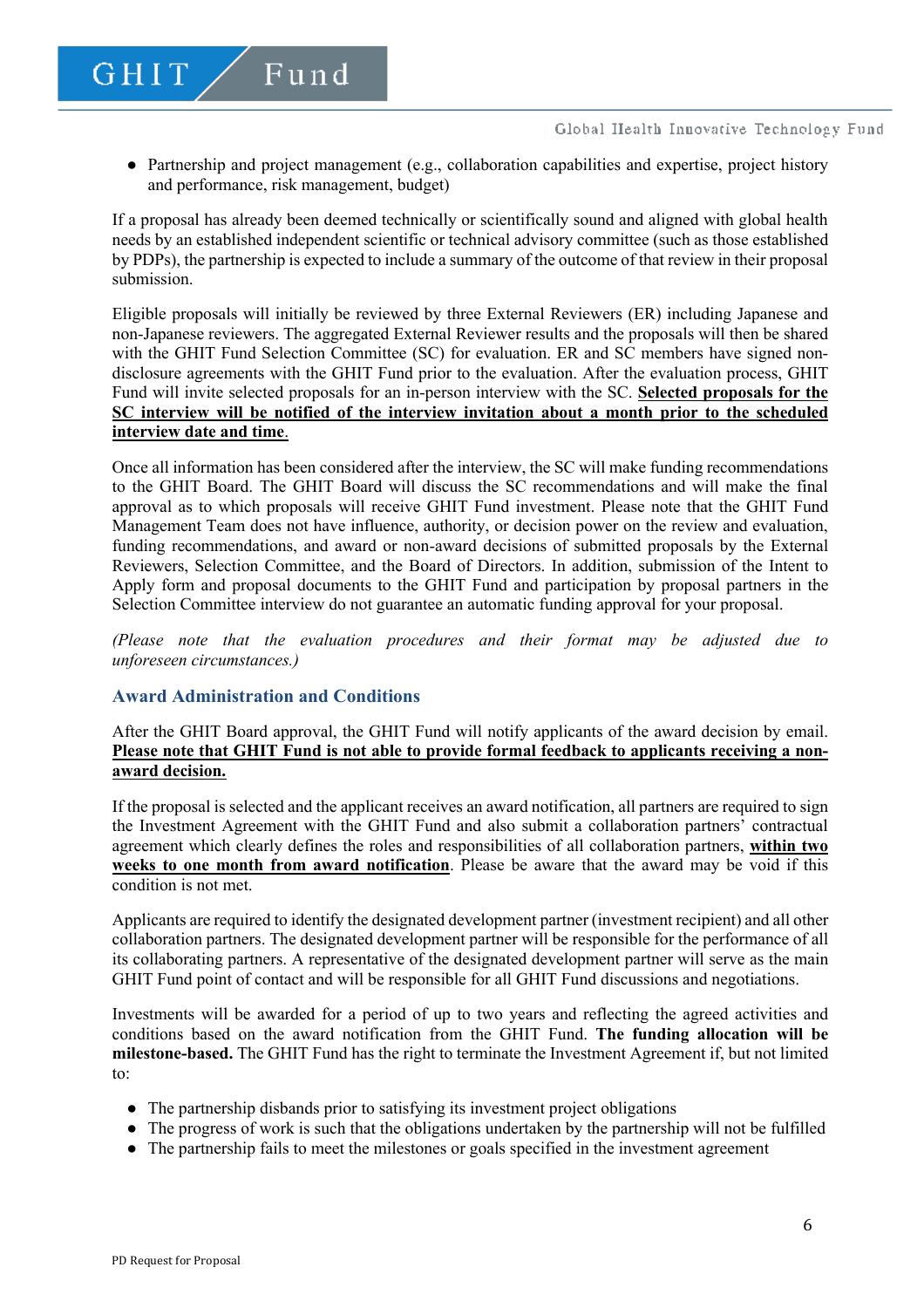● Partnership and project management (e.g., collaboration capabilities and expertise, project history and performance, risk management, budget)

If a proposal has already been deemed technically or scientifically sound and aligned with global health needs by an established independent scientific or technical advisory committee (such as those established by PDPs), the partnership is expected to include a summary of the outcome of that review in their proposal submission.

Eligible proposals will initially be reviewed by three External Reviewers (ER) including Japanese and non-Japanese reviewers. The aggregated External Reviewer results and the proposals will then be shared with the GHIT Fund Selection Committee (SC) for evaluation. ER and SC members have signed nondisclosure agreements with the GHIT Fund prior to the evaluation. After the evaluation process, GHIT Fund will invite selected proposals for an in-person interview with the SC. **Selected proposals for the SC interview will be notified of the interview invitation about a month prior to the scheduled interview date and time**.

Once all information has been considered after the interview, the SC will make funding recommendations to the GHIT Board. The GHIT Board will discuss the SC recommendations and will make the final approval as to which proposals will receive GHIT Fund investment. Please note that the GHIT Fund Management Team does not have influence, authority, or decision power on the review and evaluation, funding recommendations, and award or non-award decisions of submitted proposals by the External Reviewers, Selection Committee, and the Board of Directors. In addition, submission of the Intent to Apply form and proposal documents to the GHIT Fund and participation by proposal partners in the Selection Committee interview do not guarantee an automatic funding approval for your proposal.

*(Please note that the evaluation procedures and their format may be adjusted due to unforeseen circumstances.)*

## **Award Administration and Conditions**

Fund

GHIT

After the GHIT Board approval, the GHIT Fund will notify applicants of the award decision by email. **Please note that GHIT Fund is not able to provide formal feedback to applicants receiving a nonaward decision.**

If the proposal is selected and the applicant receives an award notification, all partners are required to sign the Investment Agreement with the GHIT Fund and also submit a collaboration partners' contractual agreement which clearly defines the roles and responsibilities of all collaboration partners, **within two weeks to one month from award notification**. Please be aware that the award may be void if this condition is not met.

Applicants are required to identify the designated development partner (investment recipient) and all other collaboration partners. The designated development partner will be responsible for the performance of all its collaborating partners. A representative of the designated development partner will serve as the main GHIT Fund point of contact and will be responsible for all GHIT Fund discussions and negotiations.

Investments will be awarded for a period of up to two years and reflecting the agreed activities and conditions based on the award notification from the GHIT Fund. **The funding allocation will be milestone-based.** The GHIT Fund has the right to terminate the Investment Agreement if, but not limited to:

- The partnership disbands prior to satisfying its investment project obligations
- The progress of work is such that the obligations undertaken by the partnership will not be fulfilled
- The partnership fails to meet the milestones or goals specified in the investment agreement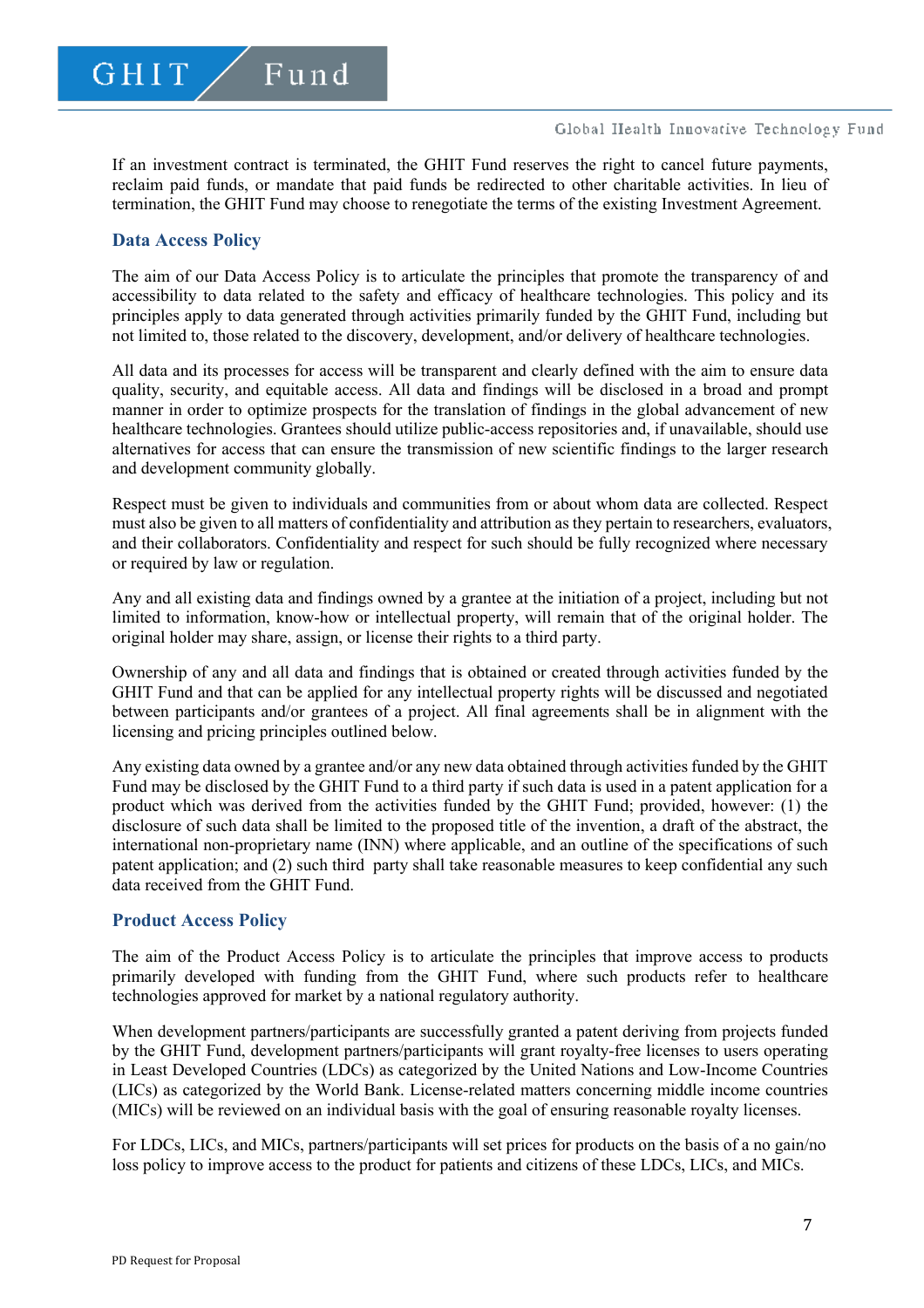If an investment contract is terminated, the GHIT Fund reserves the right to cancel future payments, reclaim paid funds, or mandate that paid funds be redirected to other charitable activities. In lieu of termination, the GHIT Fund may choose to renegotiate the terms of the existing Investment Agreement.

## **Data Access Policy**

The aim of our Data Access Policy is to articulate the principles that promote the transparency of and accessibility to data related to the safety and efficacy of healthcare technologies. This policy and its principles apply to data generated through activities primarily funded by the GHIT Fund, including but not limited to, those related to the discovery, development, and/or delivery of healthcare technologies.

All data and its processes for access will be transparent and clearly defined with the aim to ensure data quality, security, and equitable access. All data and findings will be disclosed in a broad and prompt manner in order to optimize prospects for the translation of findings in the global advancement of new healthcare technologies. Grantees should utilize public-access repositories and, if unavailable, should use alternatives for access that can ensure the transmission of new scientific findings to the larger research and development community globally.

Respect must be given to individuals and communities from or about whom data are collected. Respect must also be given to all matters of confidentiality and attribution as they pertain to researchers, evaluators, and their collaborators. Confidentiality and respect for such should be fully recognized where necessary or required by law or regulation.

Any and all existing data and findings owned by a grantee at the initiation of a project, including but not limited to information, know-how or intellectual property, will remain that of the original holder. The original holder may share, assign, or license their rights to a third party.

Ownership of any and all data and findings that is obtained or created through activities funded by the GHIT Fund and that can be applied for any intellectual property rights will be discussed and negotiated between participants and/or grantees of a project. All final agreements shall be in alignment with the licensing and pricing principles outlined below.

Any existing data owned by a grantee and/or any new data obtained through activities funded by the GHIT Fund may be disclosed by the GHIT Fund to a third party if such data is used in a patent application for a product which was derived from the activities funded by the GHIT Fund; provided, however: (1) the disclosure of such data shall be limited to the proposed title of the invention, a draft of the abstract, the international non-proprietary name (INN) where applicable, and an outline of the specifications of such patent application; and (2) such third party shall take reasonable measures to keep confidential any such data received from the GHIT Fund.

## **Product Access Policy**

The aim of the Product Access Policy is to articulate the principles that improve access to products primarily developed with funding from the GHIT Fund, where such products refer to healthcare technologies approved for market by a national regulatory authority.

When development partners/participants are successfully granted a patent deriving from projects funded by the GHIT Fund, development partners/participants will grant royalty-free licenses to users operating in Least Developed Countries (LDCs) as categorized by the United Nations and Low-Income Countries (LICs) as categorized by the World Bank. License-related matters concerning middle income countries (MICs) will be reviewed on an individual basis with the goal of ensuring reasonable royalty licenses.

For LDCs, LICs, and MICs, partners/participants will set prices for products on the basis of a no gain/no loss policy to improve access to the product for patients and citizens of these LDCs, LICs, and MICs.